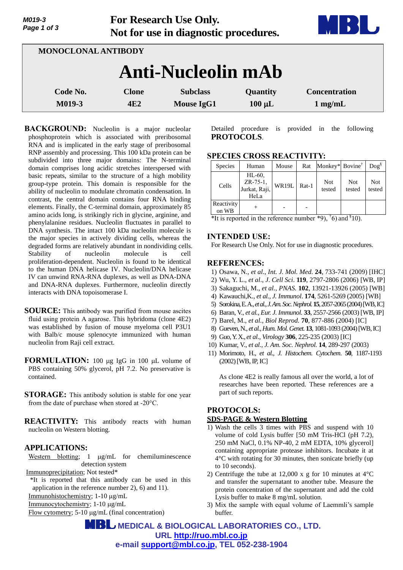| Page 1 of 3                | Not for use in diagnostic procedures. |                                      |                         |                                           |  |  |  |
|----------------------------|---------------------------------------|--------------------------------------|-------------------------|-------------------------------------------|--|--|--|
| <b>MONOCLONAL ANTIBODY</b> |                                       |                                      |                         |                                           |  |  |  |
| <b>Anti-Nucleolin mAb</b>  |                                       |                                      |                         |                                           |  |  |  |
| Code No.<br>M019-3         | <b>Clone</b><br>4E2                   | <b>Subclass</b><br><b>Mouse IgG1</b> | Quantity<br>$100 \mu L$ | <b>Concentration</b><br>$1 \text{ mg/mL}$ |  |  |  |

**For Research Use Only.**

**BACKGROUND:** Nucleolin is a major nucleolar phosphoprotein which is associated with preribosomal RNA and is implicated in the early stage of preribosomal RNP assembly and processing. This 100 kDa protein can be subdivided into three major domains: The N-terminal domain comprises long acidic stretches interspersed with basic repeats, similar to the structure of a high mobility group-type protein. This domain is responsible for the ability of nucleolin to modulate chromatin condensation. In contrast, the central domain contains four RNA binding elements. Finally, the C-terminal domain, approximately 85 amino acids long, is strikingly rich in glycine, arginine, and phenylalanine residues. Nucleolin fluctuates in parallel to DNA synthesis. The intact 100 kDa nucleolin molecule is the major species in actively dividing cells, whereas the degraded forms are relatively abundant in nondividing cells. Stability of nucleolin molecule is cell proliferation-dependent. Nucleolin is found to be identical to the human DNA helicase IV. Nucleolin/DNA helicase IV can unwind RNA-RNA duplexes, as well as DNA-DNA and DNA-RNA duplexes. Furthermore, nucleolin directly interacts with DNA topoisomerase I.

- **SOURCE:** This antibody was purified from mouse ascites fluid using protein A agarose. This hybridoma (clone 4E2) was established by fusion of mouse myeloma cell P3U1 with Balb/c mouse splenocyte immunized with human nucleolin from Raji cell extract.
- **FORMULATION:** 100 ug IgG in 100 uL volume of PBS containing 50% glycerol, pH 7.2. No preservative is contained.
- **STORAGE:** This antibody solution is stable for one year from the date of purchase when stored at -20°C.
- **REACTIVITY:** This antibody reacts with human nucleolin on Western blotting.

# **APPLICATIONS:**

*M019-3*

Western blotting;  $1 \mu g/mL$  for chemiluminescence detection system

Immunoprecipitation; Not tested\*

\*It is reported that this antibody can be used in this application in the reference number 2), 6) and 11). Immunohistochemistry; 1-10 g/mL

Immunocytochemistry; 1-10 μg/mL

Flow cytometry; 5-10 μg/mL (final concentration)

Detailed procedure is provided in the following **PROTOCOLS**.

# **SPECIES CROSS REACTIVITY:**

| <b>Species</b>      | Human                                          | Mouse | Rat     | Monkey* Bovine <sup>†</sup> |                      | $\log^8$      |
|---------------------|------------------------------------------------|-------|---------|-----------------------------|----------------------|---------------|
| Cells               | $HL-60$ .<br>ZR-75-1,<br>Jurkat, Raji,<br>HeLa | WR19L | $Rat-1$ | <b>Not</b><br>tested        | <b>Not</b><br>tested | Not<br>tested |
| Reactivity<br>on WB |                                                |       |         |                             |                      |               |

\*It is reported in the reference number  $*9$ ,  $\overline{6}$  and  $\overline{8}$ 10).

# **INTENDED USE:**

For Research Use Only. Not for use in diagnostic procedures.

## **REFERENCES:**

- 1) Osawa, N., *et al*., *Int. J. Mol. Med.* **24**, 733-741 (2009) [IHC]
- 2) Wu, Y. L., *et al*., *J*. *Cell Sci*. **119**, 2797-2806 (2006) [WB, IP]
- 3) Sakaguchi, M., *et al., PNAS.* **102**, 13921-13926 (2005) [WB]
- 4) Kawauchi,K., *et al., J. Immunol*. **174**, 5261-5269 (2005) [WB]
- 5) Sorokina, E. A*., et al., J. Am. Soc. Nephrol.***15**, 2057-2065(2004)[WB, IC]
- 6) Baran, V., *et al., Eur. J. Immunol.* **33**, 2557-2566 (2003) [WB, IP]
- 7) Barel, M., *et al., Biol Reprod.* **70**, 877-886 (2004) [IC]
- 8) Gueven,N., *et al., Hum. Mol. Genet.* **13**, 1081-1093 (2004)[WB, IC]
- 9) Guo, Y.X., *et al., Virology* **306**, 225-235 (2003) [IC]
- 10) Kumar, V., *et al., J. Am. Soc. Nephrol.* **14**, 289-297 (2003)
- 11) Morimoto, H., *et al., J. Histochem. Cytochem*. **50**, 1187-1193 (2002)[WB, IP, IC]

As clone 4E2 is really famous all over the world, a lot of researches have been reported. These references are a part of such reports.

# **PROTOCOLS: SDS-PAGE & Western Blotting**

- 1) Wash the cells 3 times with PBS and suspend with 10 volume of cold Lysis buffer [50 mM Tris-HCl (pH 7.2), 250 mM NaCl, 0.1% NP-40, 2 mM EDTA, 10% glycerol] containing appropriate protease inhibitors. Incubate it at 4°C with rotating for 30 minutes, then sonicate briefly (up to 10 seconds).
- 2) Centrifuge the tube at 12,000 x g for 10 minutes at  $4^{\circ}$ C and transfer the supernatant to another tube. Measure the protein concentration of the supernatant and add the cold Lysis buffer to make 8 mg/mL solution.
- 3) Mix the sample with equal volume of Laemmli's sample buffer.

 **MEDICAL & BIOLOGICAL LABORATORIES CO., LTD. URL [http://ruo.mbl.co.jp](http://ruo.mbl.co.jp/) e-mail [support@mbl.co.jp,](support@mbl.co.jp) TEL 052-238-1904**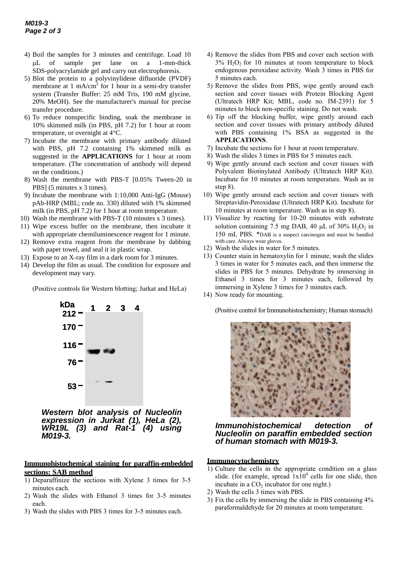- 4) Boil the samples for 3 minutes and centrifuge. Load 10 L of sample per lane on a 1-mm-thick SDS-polyacrylamide gel and carry out electrophoresis.
- 5) Blot the protein to a polyvinylidene difluoride (PVDF) membrane at 1 mA/cm<sup>2</sup> for 1 hour in a semi-dry transfer system (Transfer Buffer: 25 mM Tris, 190 mM glycine, 20% MeOH). See the manufacturer's manual for precise transfer procedure.
- 6) To reduce nonspecific binding, soak the membrane in 10% skimmed milk (in PBS, pH 7.2) for 1 hour at room temperature, or overnight at 4°C.
- 7) Incubate the membrane with primary antibody diluted with PBS, pH 7.2 containing 1% skimmed milk as suggested in the **APPLICATIONS** for 1 hour at room temperature. (The concentration of antibody will depend on the conditions.)
- 8) Wash the membrane with PBS-T [0.05% Tween-20 in PBS] (5 minutes x 3 times).
- 9) Incubate the membrane with 1:10,000 Anti-IgG (Mouse) pAb-HRP (MBL; code no. 330) diluted with 1% skimmed milk (in PBS, pH 7.2) for 1 hour at room temperature.
- 10) Wash the membrane with PBS-T (10 minutes x 3 times).
- 11) Wipe excess buffer on the membrane, then incubate it with appropriate chemiluminescence reagent for 1 minute.
- 12) Remove extra reagent from the membrane by dabbing with paper towel, and seal it in plastic wrap.
- 13) Expose to an X-ray film in a dark room for 3 minutes.
- 14) Develop the film as usual. The condition for exposure and development may vary.

(Positive controls for Western blotting; Jurkat and HeLa)



*Western blot analysis of Nucleolin expression in Jurkat (1), HeLa (2), WR19L (3) and Rat-1 (4) using M019-3.*

#### **Immunohistochemical staining for paraffin-embedded sections: SAB method**

- 1) Deparaffinize the sections with Xylene 3 times for 3-5 minutes each.
- 2) Wash the slides with Ethanol 3 times for 3-5 minutes each.
- 3) Wash the slides with PBS 3 times for 3-5 minutes each.
- 4) Remove the slides from PBS and cover each section with  $3\%$  H<sub>2</sub>O<sub>2</sub> for 10 minutes at room temperature to block endogenous peroxidase activity. Wash 3 times in PBS for 5 minutes each.
- 5) Remove the slides from PBS, wipe gently around each section and cover tissues with Protein Blocking Agent (Ultratech HRP Kit; MBL, code no. IM-2391) for 5 minutes to block non-specific staining. Do not wash.
- 6) Tip off the blocking buffer, wipe gently around each section and cover tissues with primary antibody diluted with PBS containing 1% BSA as suggested in the **APPLICATIONS**.
- 7) Incubate the sections for 1 hour at room temperature.
- 8) Wash the slides 3 times in PBS for 5 minutes each.
- 9) Wipe gently around each section and cover tissues with Polyvalent Biotinylated Antibody (Ultratech HRP Kit). Incubate for 10 minutes at room temperature. Wash as in step 8).
- 10) Wipe gently around each section and cover tissues with Streptavidin-Peroxidase (Ultratech HRP Kit). Incubate for 10 minutes at room temperature. Wash as in step 8).
- 11) Visualize by reacting for 10-20 minutes with substrate solution containing 7.5 mg DAB, 40  $\mu$ L of 30% H<sub>2</sub>O<sub>2</sub> in 150 mL PBS. \*DAB is a suspect carcinogen and must be handled with care. Always wear gloves.
- 12) Wash the slides in water for 5 minutes.
- 13) Counter stain in hematoxylin for 1 minute, wash the slides 3 times in water for 5 minutes each, and then immerse the slides in PBS for 5 minutes. Dehydrate by immersing in Ethanol 3 times for 3 minutes each, followed by immersing in Xylene 3 times for 3 minutes each.

14) Now ready for mounting.

(Positive control for Immunohistochemistry; Human stomach)



*Immunohistochemical detection of Nucleolin on paraffin embedded section of human stomach with M019-3.*

#### **Immunocytochemistry**

- 1) Culture the cells in the appropriate condition on a glass slide. (for example, spread  $1x10^4$  cells for one slide, then incubate in a  $CO<sub>2</sub>$  incubator for one night.)
- 2) Wash the cells 3 times with PBS.
- 3) Fix the cells by immersing the slide in PBS containing 4% paraformaldehyde for 20 minutes at room temperature.